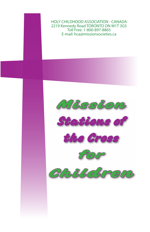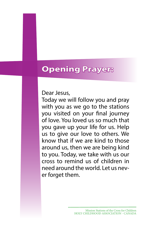# **Opening Prayer:**

Dear Jesus,

Today we will follow you and pray with you as we go to the stations you visited on your final journey of love. You loved us so much that you gave up your life for us. Help us to give our love to others. We know that if we are kind to those around us, then we are being kind to you. Today, we take with us our cross to remind us of children in need around the world. Let us never forget them.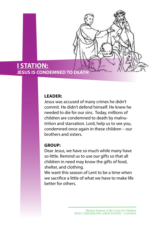

## **I STATION: JESUS IS CONDEMNED TO DEAT**

## **LEADER:**

Jesus was accused of many crimes he didn't commit. He didn't defend himself. He knew he needed to die for our sins. Today, millions of children are condemned to death by malnutrition and starvation. Lord, help us to see you, condemned once again in these children – our brothers and sisters.

## **GROUP:**

Dear Jesus, we have so much while many have so little. Remind us to use our gifts so that all children in need may know the gifts of food, shelter, and clothing.

We want this season of Lent to be a time when we sacrifice a little of what we have to make life better for others.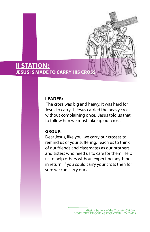

## **LEADER:**

 The cross was big and heavy. It was hard for Jesus to carry it. Jesus carried the heavy cross without complaining once. Jesus told us that to follow him we must take up our cross.

#### **GROUP:**

Dear Jesus, like you, we carry our crosses to remind us of your suffering. Teach us to think of our friends and classmates as our brothers and sisters who need us to care for them. Help us to help others without expecting anything in return. If you could carry your cross then for sure we can carry ours.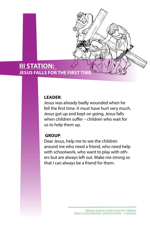## **III STATION: JESUS FALLS FOR THE FIRST TIM**

## **LEADER**:

Jesus was already badly wounded when he fell the first time. It must have hurt very much. Jesus got up and kept on going. Jesus falls when children suffer – children who wait for us to help them up.

## **GROUP**:

Dear Jesus, help me to see the children around me who need a friend, who need help with schoolwork, who want to play with others but are always left out. Make me strong so that I can always be a friend for them.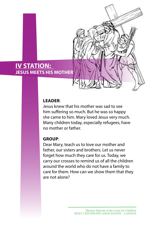## **IV STATION: JESUS MEETS HIS MOTHER**

### **LEADER**:

Jesus knew that his mother was sad to see him suffering so much. But he was so happy she came to him. Mary loved Jesus very much. Many children today, especially refugees, have no mother or father.

## **GROUP**:

Dear Mary, teach us to love our mother and father, our sisters and brothers. Let us never forget how much they care for us. Today, we carry our crosses to remind us of all the children around the world who do not have a family to care for them. How can we show them that they are not alone?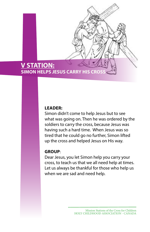## **V STATION: SIMON HELPS JESUS CARRY HIS CROSS**

## **LEADER:**

Simon didn't come to help Jesus but to see what was going on. Then he was ordered by the soldiers to carry the cross, because Jesus was having such a hard time. When Jesus was so tired that he could go no further, Simon lifted up the cross and helped Jesus on His way.

#### **GROUP**:

Dear Jesus, you let Simon help you carry your cross, to teach us that we all need help at times. Let us always be thankful for those who help us when we are sad and need help.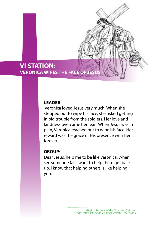## **VI STATION: VERONICA WIPES THE FACE OF**

## **LEADER**:

 Veronica loved Jesus very much. When she stepped out to wipe his face, she risked getting in big trouble from the soldiers. Her love and kindness overcame her fear. When Jesus was in pain, Veronica reached out to wipe his face. Her reward was the grace of His presence with her forever.

## **GROUP**:

Dear Jesus, help me to be like Veronica. When I see someone fall I want to help them get back up. I know that helping others is like helping you.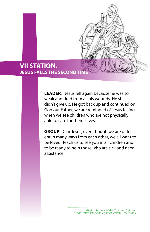

**LEADER**: Jesus fell again because he was so weak and tired from all his wounds. He still didn't give up. He got back up and continued on. God our Father, we are reminded of Jesus falling when we see children who are not physically able to care for themselves.

**VII STATION:** 

**GROUP**: Dear Jesus, even though we are different in many ways from each other, we all want to be loved. Teach us to see you in all children and to be ready to help those who are sick and need assistance.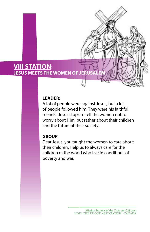## **VIII STATION: JESUS MEETS THE WOMEN OF JERUS**

## **LEADER**:

A lot of people were against Jesus, but a lot of people followed him. They were his faithful friends. Jesus stops to tell the women not to worry about Him, but rather about their children and the future of their society.

## **GROUP**:

Dear Jesus, you taught the women to care about their children. Help us to always care for the children of the world who live in conditions of poverty and war.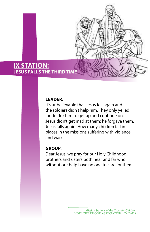

## **IX STATION: JESUS FALLS THE THIRD TIME**

## **LEADER**:

It's unbelievable that Jesus fell again and the soldiers didn't help him. They only yelled louder for him to get up and continue on. Jesus didn't get mad at them; he forgave them. Jesus falls again. How many children fall in places in the missions suffering with violence and war?

#### **GROUP**:

Dear Jesus, we pray for our Holy Childhood brothers and sisters both near and far who without our help have no one to care for them.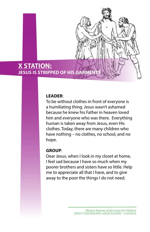

#### **LEADER**:

To be without clothes in front of everyone is a humiliating thing. Jesus wasn't ashamed because he knew his Father in heaven loved him and everyone who was there. Everything human is taken away from Jesus, even His clothes. Today, there are many children who have nothing – no clothes, no school, and no hope.

#### **GROUP**:

Dear Jesus, when I look in my closet at home, I feel sad because I have so much when my poorer brothers and sisters have so little. Help me to appreciate all that I have, and to give away to the poor the things I do not need.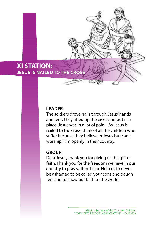## **XI STATION: JESUS IS NAILED TO THE CRO**

## **LEADER**:

The soldiers drove nails through Jesus' hands and feet. They lifted up the cross and put it in place. Jesus was in a lot of pain. As Jesus is nailed to the cross, think of all the children who suffer because they believe in Jesus but can't worship Him openly in their country.

## **GROUP**:

Dear Jesus, thank you for giving us the gift of faith. Thank you for the freedom we have in our country to pray without fear. Help us to never be ashamed to be called your sons and daughters and to show our faith to the world.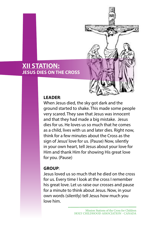## **XII STATION: JESUS DIES ON THE CROSS**



## **LEADER**:

When Jesus died, the sky got dark and the ground started to shake. This made some people very scared. They saw that Jesus was innocent and that they had made a big mistake. Jesus dies for us. He loves us so much that he comes as a child, lives with us and later dies. Right now, think for a few minutes about the Cross as the sign of Jesus' love for us. (Pause) Now, silently in your own heart, tell Jesus about your love for Him and thank Him for showing His great love for you. (Pause)

## **GROUP**:

Jesus loved us so much that he died on the cross for us. Every time I look at the cross I remember his great love. Let us raise our crosses and pause for a minute to think about Jesus. Now, in your own words (silently) tell Jesus how much you love him.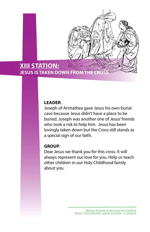## **XIII STATION: JESUS IS TAKEN DOWN FROM THE CR**

## **LEADER**:

Joseph of Arimathea gave Jesus his own burial cave because Jesus didn't have a place to be buried. Joseph was another one of Jesus' friends who took a risk to help him. Jesus has been lovingly taken down but the Cross still stands as a special sign of our faith.

## **GROUP**:

Dear Jesus we thank you for this cross. It will always represent our love for you. Help us teach other children in our Holy Childhood family about you.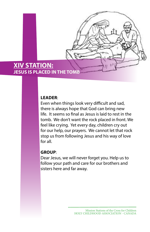## **XIV STATION: JESUS IS PLACED IN THE TOMB**

## **LEADER**:

Even when things look very difficult and sad, there is always hope that God can bring new life. It seems so final as Jesus is laid to rest in the tomb. We don't want the rock placed in front. We feel like crying. Yet every day, children cry out for our help, our prayers. We cannot let that rock stop us from following Jesus and his way of love for all.

#### **GROUP**:

Dear Jesus, we will never forget you. Help us to follow your path and care for our brothers and sisters here and far away.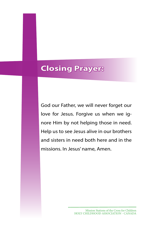# **Closing Prayer:**

God our Father, we will never forget our love for Jesus. Forgive us when we ignore Him by not helping those in need. Help us to see Jesus alive in our brothers and sisters in need both here and in the missions. In Jesus' name, Amen.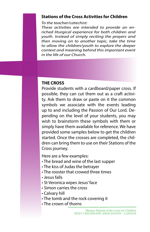#### **Stations of the Cross Activities for Children**

*To the teacher/catechist:* 

*These activities are intended to provide an enriched liturgical experience for both children and youth. Instead of simply reciting the prayers and then moving on to another topic, take the time to allow the children/youth to explore the deeper context and meaning behind this important event in the life of our Church.*

#### **THE CROSS**

Provide students with a cardboard/paper cross. If possible, they can cut them out as a craft activity. Ask them to draw or paste on it the common symbols we associate with the events leading up to and including the Passion of Our Lord. Depending on the level of your students, you may wish to brainstorm these symbols with them or simply have them available for reference. We have provided some samples below to get the children started. Once the crosses are completed, the children can bring them to use on their Stations of the Cross journey.

Here are a few examples:

- The bread and wine of the last supper
- The kiss of Judas the betrayer
- The rooster that crowed three times
- Jesus falls
- St Veronica wipes Jesus' face
- Simon carries the cross
- Calvary hill
- The tomb and the rock covering it
- The crown of thorns